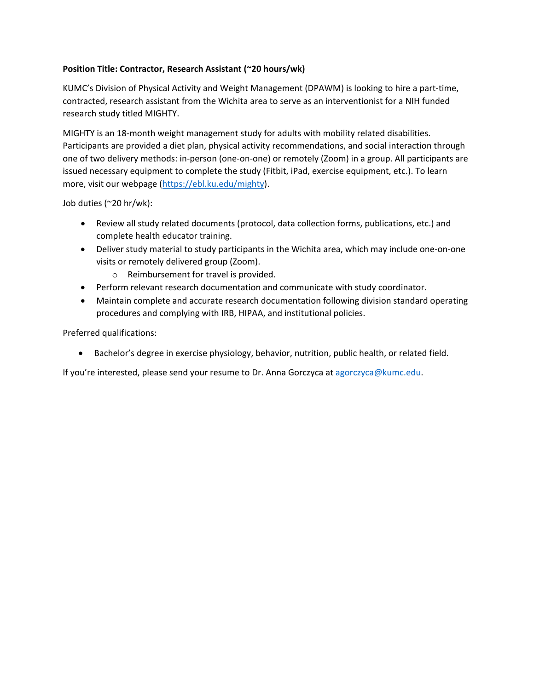## **Position Title: Contractor, Research Assistant (~20 hours/wk)**

KUMC's Division of Physical Activity and Weight Management (DPAWM) is looking to hire a part-time, contracted, research assistant from the Wichita area to serve as an interventionist for a NIH funded research study titled MIGHTY.

MIGHTY is an 18-month weight management study for adults with mobility related disabilities. Participants are provided a diet plan, physical activity recommendations, and social interaction through one of two delivery methods: in-person (one-on-one) or remotely (Zoom) in a group. All participants are issued necessary equipment to complete the study (Fitbit, iPad, exercise equipment, etc.). To learn more, visit our webpage [\(https://ebl.ku.edu/mighty\)](https://ebl.ku.edu/mighty).

Job duties (~20 hr/wk):

- Review all study related documents (protocol, data collection forms, publications, etc.) and complete health educator training.
- Deliver study material to study participants in the Wichita area, which may include one-on-one visits or remotely delivered group (Zoom).
	- o Reimbursement for travel is provided.
- Perform relevant research documentation and communicate with study coordinator.
- Maintain complete and accurate research documentation following division standard operating procedures and complying with IRB, HIPAA, and institutional policies.

Preferred qualifications:

• Bachelor's degree in exercise physiology, behavior, nutrition, public health, or related field.

If you're interested, please send your resume to Dr. Anna Gorczyca at [agorczyca@kumc.edu.](mailto:agorczyca@kumc.edu)